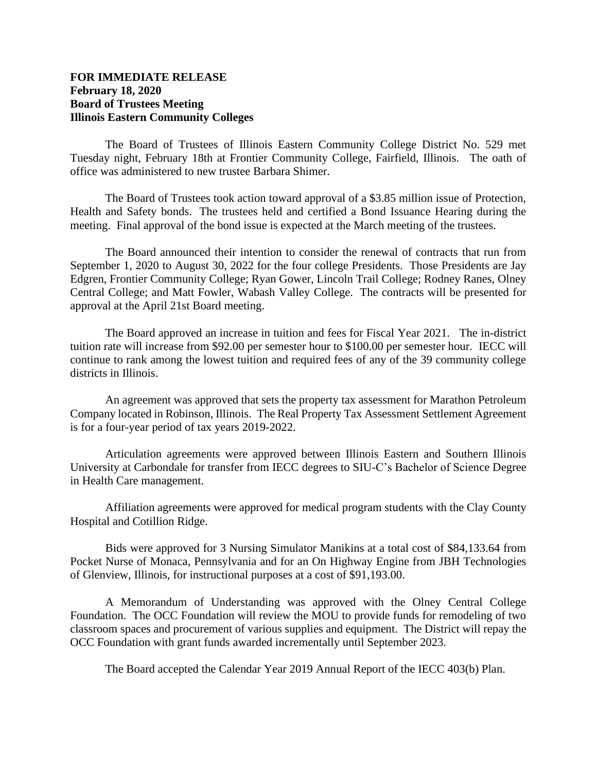## **FOR IMMEDIATE RELEASE February 18, 2020 Board of Trustees Meeting Illinois Eastern Community Colleges**

The Board of Trustees of Illinois Eastern Community College District No. 529 met Tuesday night, February 18th at Frontier Community College, Fairfield, Illinois. The oath of office was administered to new trustee Barbara Shimer.

The Board of Trustees took action toward approval of a \$3.85 million issue of Protection, Health and Safety bonds. The trustees held and certified a Bond Issuance Hearing during the meeting. Final approval of the bond issue is expected at the March meeting of the trustees.

The Board announced their intention to consider the renewal of contracts that run from September 1, 2020 to August 30, 2022 for the four college Presidents. Those Presidents are Jay Edgren, Frontier Community College; Ryan Gower, Lincoln Trail College; Rodney Ranes, Olney Central College; and Matt Fowler, Wabash Valley College. The contracts will be presented for approval at the April 21st Board meeting.

The Board approved an increase in tuition and fees for Fiscal Year 2021. The in-district tuition rate will increase from \$92.00 per semester hour to \$100.00 per semester hour. IECC will continue to rank among the lowest tuition and required fees of any of the 39 community college districts in Illinois.

An agreement was approved that sets the property tax assessment for Marathon Petroleum Company located in Robinson, Illinois. The Real Property Tax Assessment Settlement Agreement is for a four-year period of tax years 2019-2022.

Articulation agreements were approved between Illinois Eastern and Southern Illinois University at Carbondale for transfer from IECC degrees to SIU-C's Bachelor of Science Degree in Health Care management.

Affiliation agreements were approved for medical program students with the Clay County Hospital and Cotillion Ridge.

Bids were approved for 3 Nursing Simulator Manikins at a total cost of \$84,133.64 from Pocket Nurse of Monaca, Pennsylvania and for an On Highway Engine from JBH Technologies of Glenview, Illinois, for instructional purposes at a cost of \$91,193.00.

A Memorandum of Understanding was approved with the Olney Central College Foundation. The OCC Foundation will review the MOU to provide funds for remodeling of two classroom spaces and procurement of various supplies and equipment. The District will repay the OCC Foundation with grant funds awarded incrementally until September 2023.

The Board accepted the Calendar Year 2019 Annual Report of the IECC 403(b) Plan.